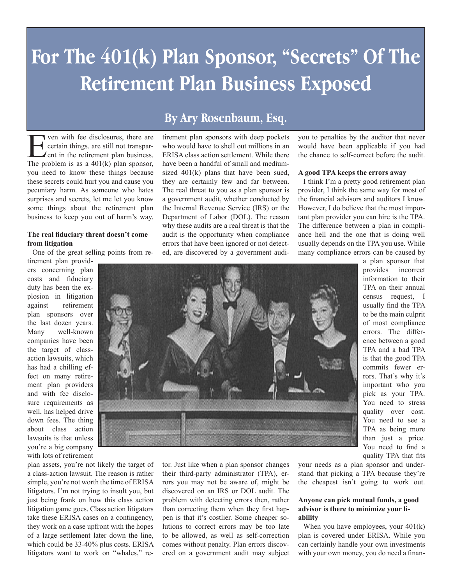# **For The 401(k) Plan Sponsor, "Secrets" Of The Retirement Plan Business Exposed**

For ven with fee disclosures, there are<br>certain things. are still not transparent in the retirement plan business.<br>The problem is as a 401(k) plan sponsor certain things, are still not transparent in the retirement plan business. The problem is as a 401(k) plan sponsor, you need to know these things because these secrets could hurt you and cause you pecuniary harm. As someone who hates surprises and secrets, let me let you know some things about the retirement plan business to keep you out of harm's way.

#### **The real fiduciary threat doesn't come from litigation**

One of the great selling points from re-

tirement plan providers concerning plan costs and fiduciary duty has been the explosion in litigation against retirement plan sponsors over the last dozen years. Many well-known companies have been the target of classaction lawsuits, which has had a chilling effect on many retirement plan providers and with fee disclosure requirements as well, has helped drive down fees. The thing about class action lawsuits is that unless you're a big company with lots of retirement

plan assets, you're not likely the target of a class-action lawsuit. The reason is rather simple, you're not worth the time of ERISA litigators. I'm not trying to insult you, but just being frank on how this class action litigation game goes. Class action litigators take these ERISA cases on a contingency, they work on a case upfront with the hopes of a large settlement later down the line, which could be 33-40% plus costs. ERISA litigators want to work on "whales," re-

### **By Ary Rosenbaum, Esq.**

tirement plan sponsors with deep pockets who would have to shell out millions in an ERISA class action settlement. While there have been a handful of small and mediumsized 401(k) plans that have been sued, they are certainly few and far between. The real threat to you as a plan sponsor is a government audit, whether conducted by the Internal Revenue Service (IRS) or the Department of Labor (DOL). The reason why these audits are a real threat is that the audit is the opportunity when compliance errors that have been ignored or not detected, are discovered by a government audiyou to penalties by the auditor that never would have been applicable if you had the chance to self-correct before the audit.

#### **A good TPA keeps the errors away**

I think I'm a pretty good retirement plan provider, I think the same way for most of the financial advisors and auditors I know. However, I do believe that the most important plan provider you can hire is the TPA. The difference between a plan in compliance hell and the one that is doing well usually depends on the TPA you use. While many compliance errors can be caused by



a plan sponsor that provides incorrect information to their TPA on their annual census request, I usually find the TPA to be the main culprit of most compliance errors. The difference between a good TPA and a bad TPA is that the good TPA commits fewer errors. That's why it's important who you pick as your TPA. You need to stress quality over cost. You need to see a TPA as being more than just a price. You need to find a quality TPA that fits

tor. Just like when a plan sponsor changes their third-party administrator (TPA), errors you may not be aware of, might be discovered on an IRS or DOL audit. The problem with detecting errors then, rather than correcting them when they first happen is that it's costlier. Some cheaper solutions to correct errors may be too late to be allowed, as well as self-correction comes without penalty. Plan errors discovered on a government audit may subject

your needs as a plan sponsor and understand that picking a TPA because they're the cheapest isn't going to work out.

#### **Anyone can pick mutual funds, a good advisor is there to minimize your liability**

When you have employees, your  $401(k)$ plan is covered under ERISA. While you can certainly handle your own investments with your own money, you do need a finan